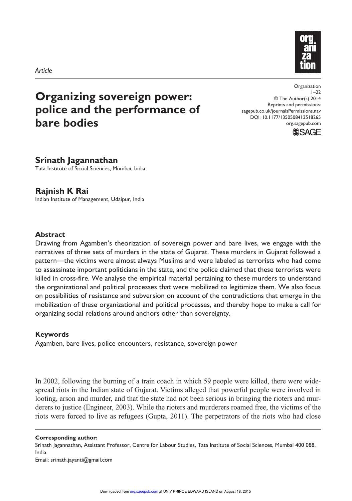



# **Organizing sovereign power: police and the performance of bare bodies**

Organization  $1 - 22$ © The Author(s) 2014 Reprints and permissions: sagepub.co.uk/journalsPermissions.nav DOI: 10.1177/1350508413518265 org.sagepub.com



# **Srinath Jagannathan**

Tata Institute of Social Sciences, Mumbai, India

# **Rajnish K Rai**

Indian Institute of Management, Udaipur, India

### **Abstract**

Drawing from Agamben's theorization of sovereign power and bare lives, we engage with the narratives of three sets of murders in the state of Gujarat. These murders in Gujarat followed a pattern—the victims were almost always Muslims and were labeled as terrorists who had come to assassinate important politicians in the state, and the police claimed that these terrorists were killed in cross-fire. We analyse the empirical material pertaining to these murders to understand the organizational and political processes that were mobilized to legitimize them. We also focus on possibilities of resistance and subversion on account of the contradictions that emerge in the mobilization of these organizational and political processes, and thereby hope to make a call for organizing social relations around anchors other than sovereignty.

# **Keywords**

Agamben, bare lives, police encounters, resistance, sovereign power

In 2002, following the burning of a train coach in which 59 people were killed, there were widespread riots in the Indian state of Gujarat. Victims alleged that powerful people were involved in looting, arson and murder, and that the state had not been serious in bringing the rioters and murderers to justice (Engineer, 2003). While the rioters and murderers roamed free, the victims of the riots were forced to live as refugees (Gupta, 2011). The perpetrators of the riots who had close

**Corresponding author:**

Srinath Jagannathan, Assistant Professor, Centre for Labour Studies, Tata Institute of Social Sciences, Mumbai 400 088, India.

Email: srinath.jayanti@gmail.com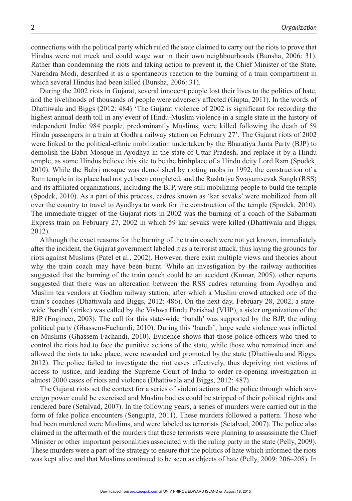connections with the political party which ruled the state claimed to carry out the riots to prove that Hindus were not meek and could wage war in their own neighbourhoods (Bunsha, 2006: 31). Rather than condemning the riots and taking action to prevent it, the Chief Minister of the State, Narendra Modi, described it as a spontaneous reaction to the burning of a train compartment in which several Hindus had been killed (Bunsha, 2006: 31).

During the 2002 riots in Gujarat, several innocent people lost their lives to the politics of hate, and the livelihoods of thousands of people were adversely affected (Gupta, 2011). In the words of Dhattiwala and Biggs (2012: 484) 'The Gujarat violence of 2002 is significant for recording the highest annual death toll in any event of Hindu-Muslim violence in a single state in the history of independent India: 984 people, predominantly Muslims, were killed following the death of 59 Hindu passengers in a train at Godhra railway station on February 27'. The Gujarat riots of 2002 were linked to the political-ethnic mobilization undertaken by the Bharatiya Janta Party (BJP) to demolish the Babri Mosque in Ayodhya in the state of Uttar Pradesh, and replace it by a Hindu temple, as some Hindus believe this site to be the birthplace of a Hindu deity Lord Ram (Spodek, 2010). While the Babri mosque was demolished by rioting mobs in 1992, the construction of a Ram temple in its place had not yet been completed, and the Rashtriya Swayamsevak Sangh (RSS) and its affiliated organizations, including the BJP, were still mobilizing people to build the temple (Spodek, 2010). As a part of this process, cadres known as 'kar sevaks' were mobilized from all over the country to travel to Ayodhya to work for the construction of the temple (Spodek, 2010). The immediate trigger of the Gujarat riots in 2002 was the burning of a coach of the Sabarmati Express train on February 27, 2002 in which 59 kar sevaks were killed (Dhattiwala and Biggs, 2012).

Although the exact reasons for the burning of the train coach were not yet known, immediately after the incident, the Gujarat government labeled it as a terrorist attack, thus laying the grounds for riots against Muslims (Patel et al., 2002). However, there exist multiple views and theories about why the train coach may have been burnt. While an investigation by the railway authorities suggested that the burning of the train coach could be an accident (Kumar, 2005), other reports suggested that there was an altercation between the RSS cadres returning from Ayodhya and Muslim tea vendors at Godhra railway station, after which a Muslim crowd attacked one of the train's coaches (Dhattiwala and Biggs, 2012: 486). On the next day, February 28, 2002, a statewide 'bandh' (strike) was called by the Vishwa Hindu Parishad (VHP), a sister organization of the BJP (Engineer, 2003). The call for this state-wide 'bandh' was supported by the BJP, the ruling political party (Ghassem-Fachandi, 2010). During this 'bandh', large scale violence was inflicted on Muslims (Ghassem-Fachandi, 2010). Evidence shows that those police officers who tried to control the riots had to face the punitive actions of the state, while those who remained inert and allowed the riots to take place, were rewarded and promoted by the state (Dhattiwala and Biggs, 2012). The police failed to investigate the riot cases effectively, thus depriving riot victims of access to justice, and leading the Supreme Court of India to order re-opening investigation in almost 2000 cases of riots and violence (Dhattiwala and Biggs, 2012: 487).

The Gujarat riots set the context for a series of violent actions of the police through which sovereign power could be exercised and Muslim bodies could be stripped of their political rights and rendered bare (Setalvad, 2007). In the following years, a series of murders were carried out in the form of fake police encounters (Sengupta, 2011). These murders followed a pattern. Those who had been murdered were Muslims, and were labeled as terrorists (Setalvad, 2007). The police also claimed in the aftermath of the murders that these terrorists were planning to assassinate the Chief Minister or other important personalities associated with the ruling party in the state (Pelly, 2009). These murders were a part of the strategy to ensure that the politics of hate which informed the riots was kept alive and that Muslims continued to be seen as objects of hate (Pelly, 2009: 206–208). In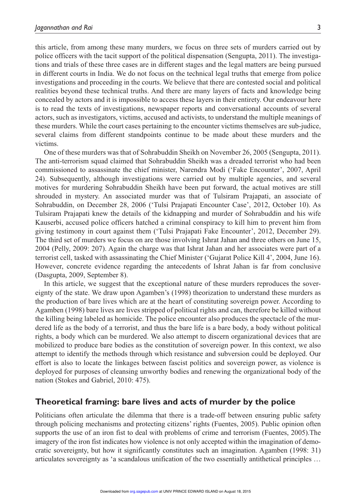this article, from among these many murders, we focus on three sets of murders carried out by police officers with the tacit support of the political dispensation (Sengupta, 2011). The investigations and trials of these three cases are in different stages and the legal matters are being pursued in different courts in India. We do not focus on the technical legal truths that emerge from police investigations and proceeding in the courts. We believe that there are contested social and political realities beyond these technical truths. And there are many layers of facts and knowledge being concealed by actors and it is impossible to access these layers in their entirety. Our endeavour here is to read the texts of investigations, newspaper reports and conversational accounts of several actors, such as investigators, victims, accused and activists, to understand the multiple meanings of these murders. While the court cases pertaining to the encounter victims themselves are sub-judice, several claims from different standpoints continue to be made about these murders and the victims.

One of these murders was that of Sohrabuddin Sheikh on November 26, 2005 (Sengupta, 2011). The anti-terrorism squad claimed that Sohrabuddin Sheikh was a dreaded terrorist who had been commissioned to assassinate the chief minister, Narendra Modi ('Fake Encounter', 2007, April 24). Subsequently, although investigations were carried out by multiple agencies, and several motives for murdering Sohrabuddin Sheikh have been put forward, the actual motives are still shrouded in mystery. An associated murder was that of Tulsiram Prajapati, an associate of Sohrabuddin, on December 28, 2006 ('Tulsi Prajapati Encounter Case', 2012, October 10). As Tulsiram Prajapati knew the details of the kidnapping and murder of Sohrabuddin and his wife Kauserbi, accused police officers hatched a criminal conspiracy to kill him to prevent him from giving testimony in court against them ('Tulsi Prajapati Fake Encounter', 2012, December 29). The third set of murders we focus on are those involving Ishrat Jahan and three others on June 15, 2004 (Pelly, 2009: 207). Again the charge was that Ishrat Jahan and her associates were part of a terrorist cell, tasked with assassinating the Chief Minister ('Gujarat Police Kill 4', 2004, June 16). However, concrete evidence regarding the antecedents of Ishrat Jahan is far from conclusive (Dasgupta, 2009, September 8).

In this article, we suggest that the exceptional nature of these murders reproduces the sovereignty of the state. We draw upon Agamben's (1998) theorization to understand these murders as the production of bare lives which are at the heart of constituting sovereign power. According to Agamben (1998) bare lives are lives stripped of political rights and can, therefore be killed without the killing being labeled as homicide. The police encounter also produces the spectacle of the murdered life as the body of a terrorist, and thus the bare life is a bare body, a body without political rights, a body which can be murdered. We also attempt to discern organizational devices that are mobilized to produce bare bodies as the constitution of sovereign power. In this context, we also attempt to identify the methods through which resistance and subversion could be deployed. Our effort is also to locate the linkages between fascist politics and sovereign power, as violence is deployed for purposes of cleansing unworthy bodies and renewing the organizational body of the nation (Stokes and Gabriel, 2010: 475).

### **Theoretical framing: bare lives and acts of murder by the police**

Politicians often articulate the dilemma that there is a trade-off between ensuring public safety through policing mechanisms and protecting citizens' rights (Fuentes, 2005). Public opinion often supports the use of an iron fist to deal with problems of crime and terrorism (Fuentes, 2005). The imagery of the iron fist indicates how violence is not only accepted within the imagination of democratic sovereignty, but how it significantly constitutes such an imagination. Agamben (1998: 31) articulates sovereignty as 'a scandalous unification of the two essentially antithetical principles …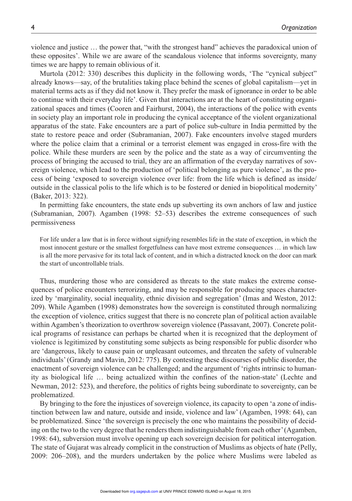violence and justice … the power that, "with the strongest hand" achieves the paradoxical union of these opposites'. While we are aware of the scandalous violence that informs sovereignty, many times we are happy to remain oblivious of it.

Murtola (2012: 330) describes this duplicity in the following words, 'The "cynical subject" already knows—say, of the brutalities taking place behind the scenes of global capitalism—yet in material terms acts as if they did not know it. They prefer the mask of ignorance in order to be able to continue with their everyday life'. Given that interactions are at the heart of constituting organizational spaces and times (Cooren and Fairhurst, 2004), the interactions of the police with events in society play an important role in producing the cynical acceptance of the violent organizational apparatus of the state. Fake encounters are a part of police sub-culture in India permitted by the state to restore peace and order (Subramanian, 2007). Fake encounters involve staged murders where the police claim that a criminal or a terrorist element was engaged in cross-fire with the police. While these murders are seen by the police and the state as a way of circumventing the process of bringing the accused to trial, they are an affirmation of the everyday narratives of sovereign violence, which lead to the production of 'political belonging as pure violence', as the process of being 'exposed to sovereign violence over life: from the life which is defined as inside/ outside in the classical polis to the life which is to be fostered or denied in biopolitical modernity' (Baker, 2013: 322).

In permitting fake encounters, the state ends up subverting its own anchors of law and justice (Subramanian, 2007). Agamben (1998: 52–53) describes the extreme consequences of such permissiveness

For life under a law that is in force without signifying resembles life in the state of exception, in which the most innocent gesture or the smallest forgetfulness can have most extreme consequences … in which law is all the more pervasive for its total lack of content, and in which a distracted knock on the door can mark the start of uncontrollable trials.

Thus, murdering those who are considered as threats to the state makes the extreme consequences of police encounters terrorizing, and may be responsible for producing spaces characterized by 'marginality, social inequality, ethnic division and segregation' (Imas and Weston, 2012: 209). While Agamben (1998) demonstrates how the sovereign is constituted through normalizing the exception of violence, critics suggest that there is no concrete plan of political action available within Agamben's theorization to overthrow sovereign violence (Passavant, 2007). Concrete political programs of resistance can perhaps be charted when it is recognized that the deployment of violence is legitimized by constituting some subjects as being responsible for public disorder who are 'dangerous, likely to cause pain or unpleasant outcomes, and threaten the safety of vulnerable individuals' (Grandy and Mavin, 2012: 775). By contesting these discourses of public disorder, the enactment of sovereign violence can be challenged; and the argument of 'rights intrinsic to humanity as biological life … being actualized within the confines of the nation-state' (Lechte and Newman, 2012: 523), and therefore, the politics of rights being subordinate to sovereignty, can be problematized.

By bringing to the fore the injustices of sovereign violence, its capacity to open 'a zone of indistinction between law and nature, outside and inside, violence and law' (Agamben, 1998: 64), can be problematized. Since 'the sovereign is precisely the one who maintains the possibility of deciding on the two to the very degree that he renders them indistinguishable from each other' (Agamben, 1998: 64), subversion must involve opening up each sovereign decision for political interrogation. The state of Gujarat was already complicit in the construction of Muslims as objects of hate (Pelly, 2009: 206–208), and the murders undertaken by the police where Muslims were labeled as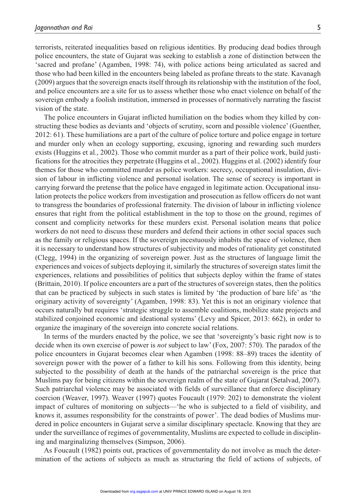terrorists, reiterated inequalities based on religious identities. By producing dead bodies through police encounters, the state of Gujarat was seeking to establish a zone of distinction between the 'sacred and profane' (Agamben, 1998: 74), with police actions being articulated as sacred and those who had been killed in the encounters being labeled as profane threats to the state. Kavanagh (2009) argues that the sovereign enacts itself through its relationship with the institution of the fool, and police encounters are a site for us to assess whether those who enact violence on behalf of the sovereign embody a foolish institution, immersed in processes of normatively narrating the fascist vision of the state.

The police encounters in Gujarat inflicted humiliation on the bodies whom they killed by constructing these bodies as deviants and 'objects of scrutiny, scorn and possible violence' (Guenther, 2012: 61). These humiliations are a part of the culture of police torture and police engage in torture and murder only when an ecology supporting, excusing, ignoring and rewarding such murders exists (Huggins et al., 2002). Those who commit murder as a part of their police work, build justifications for the atrocities they perpetrate (Huggins et al., 2002). Huggins et al. (2002) identify four themes for those who committed murder as police workers: secrecy, occupational insulation, division of labour in inflicting violence and personal isolation. The sense of secrecy is important in carrying forward the pretense that the police have engaged in legitimate action. Occupational insulation protects the police workers from investigation and prosecution as fellow officers do not want to transgress the boundaries of professional fraternity. The division of labour in inflicting violence ensures that right from the political establishment in the top to those on the ground, regimes of consent and complicity networks for these murders exist. Personal isolation means that police workers do not need to discuss these murders and defend their actions in other social spaces such as the family or religious spaces. If the sovereign incestuously inhabits the space of violence, then it is necessary to understand how structures of subjectivity and modes of rationality get constituted (Clegg, 1994) in the organizing of sovereign power. Just as the structures of language limit the experiences and voices of subjects deploying it, similarly the structures of sovereign states limit the experiences, relations and possibilities of politics that subjects deploy within the frame of states (Brittain, 2010). If police encounters are a part of the structures of sovereign states, then the politics that can be practiced by subjects in such states is limited by 'the production of bare life' as 'the originary activity of sovereignty' (Agamben, 1998: 83). Yet this is not an originary violence that occurs naturally but requires 'strategic struggle to assemble coalitions, mobilize state projects and stabilized conjoined economic and ideational systems' (Levy and Spicer, 2013: 662), in order to organize the imaginary of the sovereign into concrete social relations.

In terms of the murders enacted by the police, we see that 'sovereignty's basic right now is to decide when its own exercise of power is *not* subject to law' (Fox, 2007: 570). The paradox of the police encounters in Gujarat becomes clear when Agamben (1998: 88–89) traces the identity of sovereign power with the power of a father to kill his sons. Following from this identity, being subjected to the possibility of death at the hands of the patriarchal sovereign is the price that Muslims pay for being citizens within the sovereign realm of the state of Gujarat (Setalvad, 2007). Such patriarchal violence may be associated with fields of surveillance that enforce disciplinary coercion (Weaver, 1997). Weaver (1997) quotes Foucault (1979: 202) to demonstrate the violent impact of cultures of monitoring on subjects—'he who is subjected to a field of visibility, and knows it, assumes responsibility for the constraints of power'. The dead bodies of Muslims murdered in police encounters in Gujarat serve a similar disciplinary spectacle. Knowing that they are under the surveillance of regimes of governmentality, Muslims are expected to collude in disciplining and marginalizing themselves (Simpson, 2006).

As Foucault (1982) points out, practices of governmentality do not involve as much the determination of the actions of subjects as much as structuring the field of actions of subjects, of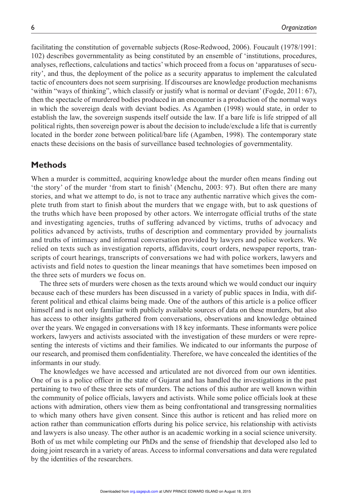facilitating the constitution of governable subjects (Rose-Redwood, 2006). Foucault (1978/1991: 102) describes governmentality as being constituted by an ensemble of 'institutions, procedures, analyses, reflections, calculations and tactics' which proceed from a focus on 'apparatuses of security', and thus, the deployment of the police as a security apparatus to implement the calculated tactic of encounters does not seem surprising. If discourses are knowledge production mechanisms 'within "ways of thinking", which classify or justify what is normal or deviant' (Fogde, 2011: 67), then the spectacle of murdered bodies produced in an encounter is a production of the normal ways in which the sovereign deals with deviant bodies. As Agamben (1998) would state, in order to establish the law, the sovereign suspends itself outside the law. If a bare life is life stripped of all political rights, then sovereign power is about the decision to include/exclude a life that is currently located in the border zone between political/bare life (Agamben, 1998). The contemporary state enacts these decisions on the basis of surveillance based technologies of governmentality.

# **Methods**

When a murder is committed, acquiring knowledge about the murder often means finding out 'the story' of the murder 'from start to finish' (Menchu, 2003: 97). But often there are many stories, and what we attempt to do, is not to trace any authentic narrative which gives the complete truth from start to finish about the murders that we engage with, but to ask questions of the truths which have been proposed by other actors. We interrogate official truths of the state and investigating agencies, truths of suffering advanced by victims, truths of advocacy and politics advanced by activists, truths of description and commentary provided by journalists and truths of intimacy and informal conversation provided by lawyers and police workers. We relied on texts such as investigation reports, affidavits, court orders, newspaper reports, transcripts of court hearings, transcripts of conversations we had with police workers, lawyers and activists and field notes to question the linear meanings that have sometimes been imposed on the three sets of murders we focus on.

The three sets of murders were chosen as the texts around which we would conduct our inquiry because each of these murders has been discussed in a variety of public spaces in India, with different political and ethical claims being made. One of the authors of this article is a police officer himself and is not only familiar with publicly available sources of data on these murders, but also has access to other insights gathered from conversations, observations and knowledge obtained over the years. We engaged in conversations with 18 key informants. These informants were police workers, lawyers and activists associated with the investigation of these murders or were representing the interests of victims and their families. We indicated to our informants the purpose of our research, and promised them confidentiality. Therefore, we have concealed the identities of the informants in our study.

The knowledges we have accessed and articulated are not divorced from our own identities. One of us is a police officer in the state of Gujarat and has handled the investigations in the past pertaining to two of these three sets of murders. The actions of this author are well known within the community of police officials, lawyers and activists. While some police officials look at these actions with admiration, others view them as being confrontational and transgressing normalities to which many others have given consent. Since this author is reticent and has relied more on action rather than communication efforts during his police service, his relationship with activists and lawyers is also uneasy. The other author is an academic working in a social science university. Both of us met while completing our PhDs and the sense of friendship that developed also led to doing joint research in a variety of areas. Access to informal conversations and data were regulated by the identities of the researchers.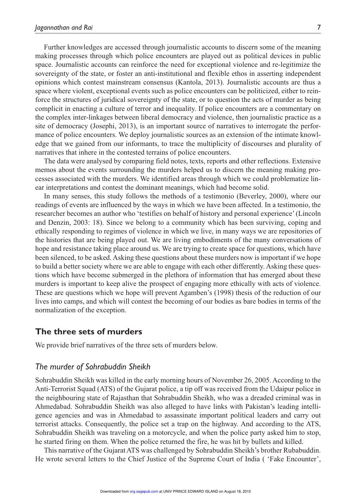Further knowledges are accessed through journalistic accounts to discern some of the meaning making processes through which police encounters are played out as political devices in public space. Journalistic accounts can reinforce the need for exceptional violence and re-legitimize the sovereignty of the state, or foster an anti-institutional and flexible ethos in asserting independent opinions which contest mainstream consensus (Kantola, 2013). Journalistic accounts are thus a space where violent, exceptional events such as police encounters can be politicized, either to reinforce the structures of juridical sovereignty of the state, or to question the acts of murder as being complicit in enacting a culture of terror and inequality. If police encounters are a commentary on the complex inter-linkages between liberal democracy and violence, then journalistic practice as a site of democracy (Josephi, 2013), is an important source of narratives to interrogate the performance of police encounters. We deploy journalistic sources as an extension of the intimate knowledge that we gained from our informants, to trace the multiplicity of discourses and plurality of narratives that inhere in the contested terrains of police encounters.

The data were analysed by comparing field notes, texts, reports and other reflections. Extensive memos about the events surrounding the murders helped us to discern the meaning making processes associated with the murders. We identified areas through which we could problematize linear interpretations and contest the dominant meanings, which had become solid.

In many senses, this study follows the methods of a testimonio (Beverley, 2000), where our readings of events are influenced by the ways in which we have been affected. In a testimonio, the researcher becomes an author who 'testifies on behalf of history and personal experience' (Lincoln and Denzin, 2003: 18). Since we belong to a community which has been surviving, coping and ethically responding to regimes of violence in which we live, in many ways we are repositories of the histories that are being played out. We are living embodiments of the many conversations of hope and resistance taking place around us. We are trying to create space for questions, which have been silenced, to be asked. Asking these questions about these murders now is important if we hope to build a better society where we are able to engage with each other differently. Asking these questions which have become submerged in the plethora of information that has emerged about these murders is important to keep alive the prospect of engaging more ethically with acts of violence. These are questions which we hope will prevent Agamben's (1998) thesis of the reduction of our lives into camps, and which will contest the becoming of our bodies as bare bodies in terms of the normalization of the exception.

# **The three sets of murders**

We provide brief narratives of the three sets of murders below.

## *The murder of Sohrabuddin Sheikh*

Sohrabuddin Sheikh was killed in the early morning hours of November 26, 2005. According to the Anti-Terrorist Squad (ATS) of the Gujarat police, a tip off was received from the Udaipur police in the neighbouring state of Rajasthan that Sohrabuddin Sheikh, who was a dreaded criminal was in Ahmedabad. Sohrabuddin Sheikh was also alleged to have links with Pakistan's leading intelligence agencies and was in Ahmedabad to assassinate important political leaders and carry out terrorist attacks. Consequently, the police set a trap on the highway. And according to the ATS, Sohrabuddin Sheikh was traveling on a motorcycle, and when the police party asked him to stop, he started firing on them. When the police returned the fire, he was hit by bullets and killed.

This narrative of the Gujarat ATS was challenged by Sohrabuddin Sheikh's brother Rubabuddin. He wrote several letters to the Chief Justice of the Supreme Court of India ( 'Fake Encounter',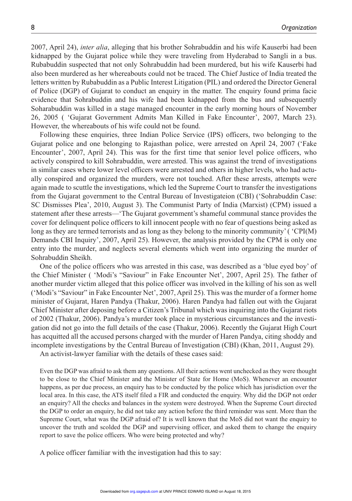2007, April 24), *inter alia*, alleging that his brother Sohrabuddin and his wife Kauserbi had been kidnapped by the Gujarat police while they were traveling from Hyderabad to Sangli in a bus. Rubabuddin suspected that not only Sohrabuddin had been murdered, but his wife Kauserbi had also been murdered as her whereabouts could not be traced. The Chief Justice of India treated the letters written by Rubabuddin as a Public Interest Litigation (PIL) and ordered the Director General of Police (DGP) of Gujarat to conduct an enquiry in the matter. The enquiry found prima facie evidence that Sohrabuddin and his wife had been kidnapped from the bus and subsequently Soharabuddin was killed in a stage managed encounter in the early morning hours of November 26, 2005 ( 'Gujarat Government Admits Man Killed in Fake Encounter', 2007, March 23). However, the whereabouts of his wife could not be found.

Following these enquiries, three Indian Police Service (IPS) officers, two belonging to the Gujarat police and one belonging to Rajasthan police, were arrested on April 24, 2007 ('Fake Encounter', 2007, April 24). This was for the first time that senior level police officers, who actively conspired to kill Sohrabuddin, were arrested. This was against the trend of investigations in similar cases where lower level officers were arrested and others in higher levels, who had actually conspired and organized the murders, were not touched. After these arrests, attempts were again made to scuttle the investigations, which led the Supreme Court to transfer the investigations from the Gujarat government to the Central Bureau of Investigateion (CBI) ('Sohrabuddin Case: SC Dismisses Plea', 2010, August 3). The Communist Party of India (Marxist) (CPM) issued a statement after these arrests—'The Gujarat government's shameful communal stance provides the cover for delinquent police officers to kill innocent people with no fear of questions being asked as long as they are termed terrorists and as long as they belong to the minority community' ('CPI(M) Demands CBI Inquiry', 2007, April 25). However, the analysis provided by the CPM is only one entry into the murder, and neglects several elements which went into organizing the murder of Sohrabuddin Sheikh.

One of the police officers who was arrested in this case, was described as a 'blue eyed boy' of the Chief Minister ( 'Modi's "Saviour" in Fake Encounter Net', 2007, April 25). The father of another murder victim alleged that this police officer was involved in the killing of his son as well ('Modi's "Saviour" in Fake Encounter Net', 2007, April 25). This was the murder of a former home minister of Gujarat, Haren Pandya (Thakur, 2006). Haren Pandya had fallen out with the Gujarat Chief Minister after deposing before a Citizen's Tribunal which was inquiring into the Gujarat riots of 2002 (Thakur, 2006). Pandya's murder took place in mysterious circumstances and the investigation did not go into the full details of the case (Thakur, 2006). Recently the Gujarat High Court has acquitted all the accused persons charged with the murder of Haren Pandya, citing shoddy and incomplete investigations by the Central Bureau of Investigation (CBI) (Khan, 2011, August 29).

An activist-lawyer familiar with the details of these cases said:

Even the DGP was afraid to ask them any questions. All their actions went unchecked as they were thought to be close to the Chief Minister and the Minister of State for Home (MoS). Whenever an encounter happens, as per due process, an enquiry has to be conducted by the police which has jurisdiction over the local area. In this case, the ATS itself filed a FIR and conducted the enquiry. Why did the DGP not order an enquiry? All the checks and balances in the system were destroyed. When the Supreme Court directed the DGP to order an enquiry, he did not take any action before the third reminder was sent. More than the Supreme Court, what was the DGP afraid of? It is well known that the MoS did not want the enquiry to uncover the truth and scolded the DGP and supervising officer, and asked them to change the enquiry report to save the police officers. Who were being protected and why?

A police officer familiar with the investigation had this to say: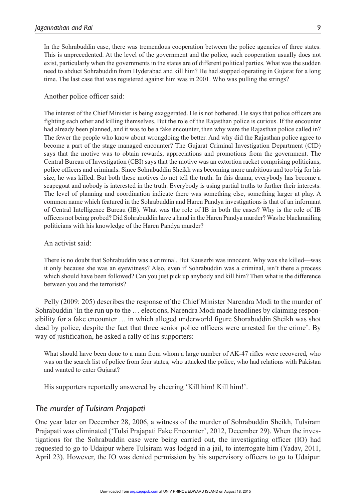In the Sohrabuddin case, there was tremendous cooperation between the police agencies of three states. This is unprecedented. At the level of the government and the police, such cooperation usually does not exist, particularly when the governments in the states are of different political parties. What was the sudden need to abduct Sohrabuddin from Hyderabad and kill him? He had stopped operating in Gujarat for a long time. The last case that was registered against him was in 2001. Who was pulling the strings?

#### Another police officer said:

The interest of the Chief Minister is being exaggerated. He is not bothered. He says that police officers are fighting each other and killing themselves. But the role of the Rajasthan police is curious. If the encounter had already been planned, and it was to be a fake encounter, then why were the Rajasthan police called in? The fewer the people who know about wrongdoing the better. And why did the Rajasthan police agree to become a part of the stage managed encounter? The Gujarat Criminal Investigation Department (CID) says that the motive was to obtain rewards, appreciations and promotions from the government. The Central Bureau of Investigation (CBI) says that the motive was an extortion racket comprising politicians, police officers and criminals. Since Sohrabuddin Sheikh was becoming more ambitious and too big for his size, he was killed. But both these motives do not tell the truth. In this drama, everybody has become a scapegoat and nobody is interested in the truth. Everybody is using partial truths to further their interests. The level of planning and coordination indicate there was something else, something larger at play. A common name which featured in the Sohrabuddin and Haren Pandya investigations is that of an informant of Central Intelligence Bureau (IB). What was the role of IB in both the cases? Why is the role of IB officers not being probed? Did Sohrabuddin have a hand in the Haren Pandya murder? Was he blackmailing politicians with his knowledge of the Haren Pandya murder?

#### An activist said:

There is no doubt that Sohrabuddin was a criminal. But Kauserbi was innocent. Why was she killed—was it only because she was an eyewitness? Also, even if Sohrabuddin was a criminal, isn't there a process which should have been followed? Can you just pick up anybody and kill him? Then what is the difference between you and the terrorists?

Pelly (2009: 205) describes the response of the Chief Minister Narendra Modi to the murder of Sohrabuddin 'In the run up to the … elections, Narendra Modi made headlines by claiming responsibility for a fake encounter ... in which alleged underworld figure Shorabuddin Sheikh was shot dead by police, despite the fact that three senior police officers were arrested for the crime'. By way of justification, he asked a rally of his supporters:

What should have been done to a man from whom a large number of AK-47 rifles were recovered, who was on the search list of police from four states, who attacked the police, who had relations with Pakistan and wanted to enter Gujarat?

His supporters reportedly answered by cheering 'Kill him! Kill him!'.

# *The murder of Tulsiram Prajapati*

One year later on December 28, 2006, a witness of the murder of Sohrabuddin Sheikh, Tulsiram Prajapati was eliminated ('Tulsi Prajapati Fake Encounter', 2012, December 29). When the investigations for the Sohrabuddin case were being carried out, the investigating officer (IO) had requested to go to Udaipur where Tulsiram was lodged in a jail, to interrogate him (Yadav, 2011, April 23). However, the IO was denied permission by his supervisory officers to go to Udaipur.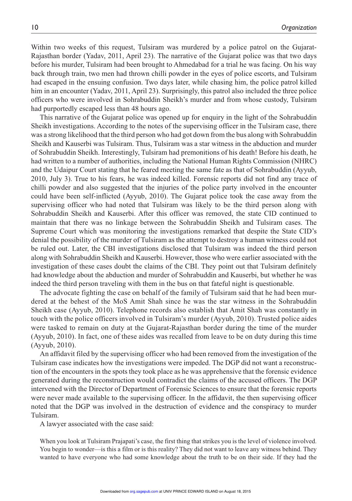Within two weeks of this request, Tulsiram was murdered by a police patrol on the Gujarat-Rajasthan border (Yadav, 2011, April 23). The narrative of the Gujarat police was that two days before his murder, Tulsiram had been brought to Ahmedabad for a trial he was facing. On his way back through train, two men had thrown chilli powder in the eyes of police escorts, and Tulsiram had escaped in the ensuing confusion. Two days later, while chasing him, the police patrol killed him in an encounter (Yadav, 2011, April 23). Surprisingly, this patrol also included the three police officers who were involved in Sohrabuddin Sheikh's murder and from whose custody, Tulsiram had purportedly escaped less than 48 hours ago.

This narrative of the Gujarat police was opened up for enquiry in the light of the Sohrabuddin Sheikh investigations. According to the notes of the supervising officer in the Tulsiram case, there was a strong likelihood that the third person who had got down from the bus along with Sohrabuddin Sheikh and Kauserbi was Tulsiram. Thus, Tulsiram was a star witness in the abduction and murder of Sohrabuddin Sheikh. Interestingly, Tulsiram had premonitions of his death! Before his death, he had written to a number of authorities, including the National Human Rights Commission (NHRC) and the Udaipur Court stating that he feared meeting the same fate as that of Sohrabuddin (Ayyub, 2010, July 3). True to his fears, he was indeed killed. Forensic reports did not find any trace of chilli powder and also suggested that the injuries of the police party involved in the encounter could have been self-inflicted (Ayyub, 2010). The Gujarat police took the case away from the supervising officer who had noted that Tulsiram was likely to be the third person along with Sohrabuddin Sheikh and Kauserbi. After this officer was removed, the state CID continued to maintain that there was no linkage between the Sohrabuddin Sheikh and Tulsiram cases. The Supreme Court which was monitoring the investigations remarked that despite the State CID's denial the possibility of the murder of Tulsiram as the attempt to destroy a human witness could not be ruled out. Later, the CBI investigations disclosed that Tulsiram was indeed the third person along with Sohrabuddin Sheikh and Kauserbi. However, those who were earlier associated with the investigation of these cases doubt the claims of the CBI. They point out that Tulsiram definitely had knowledge about the abduction and murder of Sohrabuddin and Kauserbi, but whether he was indeed the third person traveling with them in the bus on that fateful night is questionable.

The advocate fighting the case on behalf of the family of Tulsiram said that he had been murdered at the behest of the MoS Amit Shah since he was the star witness in the Sohrabuddin Sheikh case (Ayyub, 2010). Telephone records also establish that Amit Shah was constantly in touch with the police officers involved in Tulsiram's murder (Ayyub, 2010). Trusted police aides were tasked to remain on duty at the Gujarat-Rajasthan border during the time of the murder (Ayyub, 2010). In fact, one of these aides was recalled from leave to be on duty during this time (Ayyub, 2010).

An affidavit filed by the supervising officer who had been removed from the investigation of the Tulsiram case indicates how the investigations were impeded. The DGP did not want a reconstruction of the encounters in the spots they took place as he was apprehensive that the forensic evidence generated during the reconstruction would contradict the claims of the accused officers. The DGP intervened with the Director of Department of Forensic Sciences to ensure that the forensic reports were never made available to the supervising officer. In the affidavit, the then supervising officer noted that the DGP was involved in the destruction of evidence and the conspiracy to murder Tulsiram.

A lawyer associated with the case said:

When you look at Tulsiram Prajapati's case, the first thing that strikes you is the level of violence involved. You begin to wonder—is this a film or is this reality? They did not want to leave any witness behind. They wanted to have everyone who had some knowledge about the truth to be on their side. If they had the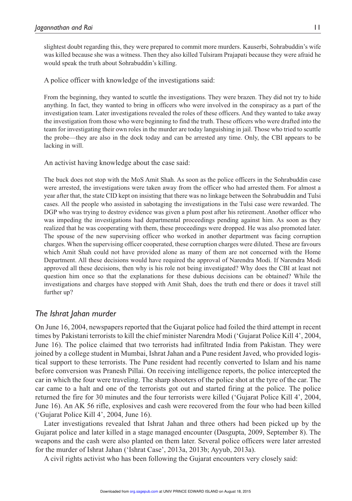slightest doubt regarding this, they were prepared to commit more murders. Kauserbi, Sohrabuddin's wife was killed because she was a witness. Then they also killed Tulsiram Prajapati because they were afraid he would speak the truth about Sohrabuddin's killing.

A police officer with knowledge of the investigations said:

From the beginning, they wanted to scuttle the investigations. They were brazen. They did not try to hide anything. In fact, they wanted to bring in officers who were involved in the conspiracy as a part of the investigation team. Later investigations revealed the roles of these officers. And they wanted to take away the investigation from those who were beginning to find the truth. These officers who were drafted into the team for investigating their own roles in the murder are today languishing in jail. Those who tried to scuttle the probe—they are also in the dock today and can be arrested any time. Only, the CBI appears to be lacking in will.

An activist having knowledge about the case said:

The buck does not stop with the MoS Amit Shah. As soon as the police officers in the Sohrabuddin case were arrested, the investigations were taken away from the officer who had arrested them. For almost a year after that, the state CID kept on insisting that there was no linkage between the Sohrabuddin and Tulsi cases. All the people who assisted in sabotaging the investigations in the Tulsi case were rewarded. The DGP who was trying to destroy evidence was given a plum post after his retirement. Another officer who was impeding the investigations had departmental proceedings pending against him. As soon as they realized that he was cooperating with them, these proceedings were dropped. He was also promoted later. The spouse of the new supervising officer who worked in another department was facing corruption charges. When the supervising officer cooperated, these corruption charges were diluted. These are favours which Amit Shah could not have provided alone as many of them are not concerned with the Home Department. All these decisions would have required the approval of Narendra Modi. If Narendra Modi approved all these decisions, then why is his role not being investigated? Why does the CBI at least not question him once so that the explanations for these dubious decisions can be obtained? While the investigations and charges have stopped with Amit Shah, does the truth end there or does it travel still further up?

# *The Ishrat Jahan murder*

On June 16, 2004, newspapers reported that the Gujarat police had foiled the third attempt in recent times by Pakistani terrorists to kill the chief minister Narendra Modi ('Gujarat Police Kill 4', 2004, June 16). The police claimed that two terrorists had infiltrated India from Pakistan. They were joined by a college student in Mumbai, Ishrat Jahan and a Pune resident Javed, who provided logistical support to these terrorists. The Pune resident had recently converted to Islam and his name before conversion was Pranesh Pillai. On receiving intelligence reports, the police intercepted the car in which the four were traveling. The sharp shooters of the police shot at the tyre of the car. The car came to a halt and one of the terrorists got out and started firing at the police. The police returned the fire for 30 minutes and the four terrorists were killed ('Gujarat Police Kill 4', 2004, June 16). An AK 56 rifle, explosives and cash were recovered from the four who had been killed ('Gujarat Police Kill 4', 2004, June 16).

Later investigations revealed that Ishrat Jahan and three others had been picked up by the Gujarat police and later killed in a stage managed encounter (Dasgupta, 2009, September 8). The weapons and the cash were also planted on them later. Several police officers were later arrested for the murder of Ishrat Jahan ('Ishrat Case', 2013a, 2013b; Ayyub, 2013a).

A civil rights activist who has been following the Gujarat encounters very closely said: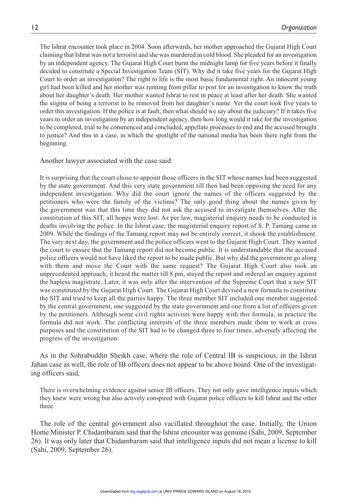The Ishrat encounter took place in 2004. Soon afterwards, her mother approached the Gujarat High Court claiming that Ishrat was not a terrorist and she was murdered in cold blood. She pleaded for an investigation by an independent agency. The Gujarat High Court burnt the midnight lamp for five years before it finally decided to constitute a Special Investigation Team (SIT). Why did it take five years for the Gujarat High Court to order an investigation? The right to life is the most basic fundamental right. An innocent young girl had been killed and her mother was running from pillar to post for an investigation to know the truth about her daughter's death. Her mother wanted Ishrat to rest in peace at least after her death. She wanted the stigma of being a terrorist to be removed from her daughter's name. Yet the court took five years to order this investigation. If the police is at fault, then what should we say about the judiciary? If it takes five years to order an investigation by an independent agency, then how long would it take for the investigation to be completed, trial to be commenced and concluded, appellate processes to end and the accused brought to justice? And this in a case, in which the spotlight of the national media has been there right from the beginning.

Another lawyer associated with the case said:

It is surprising that the court chose to appoint those officers in the SIT whose names had been suggested by the state government. And this very state government till then had been opposing the need for any independent investigation. Why did the court ignore the names of the officers suggested by the petitioners who were the family of the victims? The only good thing about the names given by the government was that this time they did not ask the accused to investigate themselves. After the constitution of this SIT, all hopes were lost. As per law, magisterial enquiry needs to be conducted in deaths involving the police. In the Ishrat case, the magisterial enquiry report of S. P. Tamang came in 2009. While the findings of the Tamang report may not be entirely correct, it shook the establishment. The very next day, the government and the police officers went to the Gujarat High Court. They wanted the court to ensure that the Tamang report did not become public. It is understandable that the accused police officers would not have liked the report to be made public. But why did the government go along with them and move the Court with the same request? The Gujarat High Court also took an unprecedented approach; it heard the matter till 8 pm, stayed the report and ordered an enquiry against the hapless magistrate. Later, it was only after the intervention of the Supreme Court that a new SIT was constituted by the Gujarat High Court. The Gujarat High Court devised a new formula to constitute the SIT and tried to keep all the parties happy. The three member SIT included one member suggested by the central government, one suggested by the state government and one from a list of officers given by the petitioners. Although some civil rights activists were happy with this formula, in practice the formula did not work. The conflicting interests of the three members made them to work at cross purposes and the constitution of the SIT had to be changed three to four times, adversely affecting the progress of the investigation.

As in the Sohrabuddin Sheikh case, where the role of Central IB is suspicious, in the Ishrat Jahan case as well, the role of IB officers does not appear to be above board. One of the investigating officers said,

There is overwhelming evidence against senior IB officers. They not only gave intelligence inputs which they knew were wrong but also actively conspired with Gujarat police officers to kill Ishrat and the other three.

The role of the central government also vacillated throughout the case. Initially, the Union Home Minister P. Chidambaram said that the Ishrat encounter was genuine (Sahi, 2009, September 26). It was only later that Chidambaram said that intelligence inputs did not mean a license to kill (Sahi, 2009, September 26).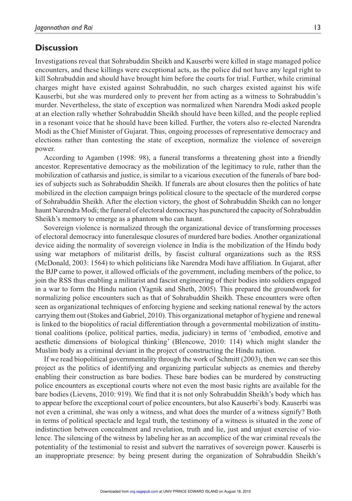# **Discussion**

Investigations reveal that Sohrabuddin Sheikh and Kauserbi were killed in stage managed police encounters, and these killings were exceptional acts, as the police did not have any legal right to kill Sohrabuddin and should have brought him before the courts for trial. Further, while criminal charges might have existed against Sohrabuddin, no such charges existed against his wife Kauserbi, but she was murdered only to prevent her from acting as a witness to Sohrabuddin's murder. Nevertheless, the state of exception was normalized when Narendra Modi asked people at an election rally whether Sohrabuddin Sheikh should have been killed, and the people replied in a resonant voice that he should have been killed. Further, the voters also re-elected Narendra Modi as the Chief Minister of Gujarat. Thus, ongoing processes of representative democracy and elections rather than contesting the state of exception, normalize the violence of sovereign power.

According to Agamben (1998: 98), a funeral transforms a threatening ghost into a friendly ancestor. Representative democracy as the mobilization of the legitimacy to rule, rather than the mobilization of catharsis and justice, is similar to a vicarious execution of the funerals of bare bodies of subjects such as Sohrabuddin Sheikh. If funerals are about closures then the politics of hate mobilized in the election campaign brings political closure to the spectacle of the murdered corpse of Sohrabuddin Sheikh. After the election victory, the ghost of Sohrabuddin Sheikh can no longer haunt Narendra Modi; the funeral of electoral democracy has punctured the capacity of Sohrabuddin Sheikh's memory to emerge as a phantom who can haunt.

Sovereign violence is normalized through the organizational device of transforming processes of electoral democracy into funeralesque closures of murdered bare bodies. Another organizational device aiding the normality of sovereign violence in India is the mobilization of the Hindu body using war metaphors of militarist drills, by fascist cultural organizations such as the RSS (McDonald, 2003: 1564) to which politicians like Narendra Modi have affiliation. In Gujarat, after the BJP came to power, it allowed officials of the government, including members of the police, to join the RSS thus enabling a militarist and fascist engineering of their bodies into soldiers engaged in a war to form the Hindu nation (Yagnik and Sheth, 2005). This prepared the groundwork for normalizing police encounters such as that of Sohrabuddin Sheikh. These encounters were often seen as organizational techniques of enforcing hygiene and seeking national renewal by the actors carrying them out (Stokes and Gabriel, 2010). This organizational metaphor of hygiene and renewal is linked to the biopolitics of racial differentiation through a governmental mobilization of institutional coalitions (police, political parties, media, judiciary) in terms of 'embodied, emotive and aesthetic dimensions of biological thinking' (Blencowe, 2010: 114) which might slander the Muslim body as a criminal deviant in the project of constructing the Hindu nation.

If we read biopolitical governmentality through the work of Schmitt (2003), then we can see this project as the politics of identifying and organizing particular subjects as enemies and thereby enabling their construction as bare bodies. These bare bodies can be murdered by constructing police encounters as exceptional courts where not even the most basic rights are available for the bare bodies (Lievens, 2010: 919). We find that it is not only Sohrabuddin Sheikh's body which has to appear before the exceptional court of police encounters, but also Kauserbi's body. Kauserbi was not even a criminal, she was only a witness, and what does the murder of a witness signify? Both in terms of political spectacle and legal truth, the testimony of a witness is situated in the zone of indistinction between concealment and revelation, truth and lie, just and unjust exercise of violence. The silencing of the witness by labeling her as an accomplice of the war criminal reveals the potentiality of the testimonial to resist and subvert the narratives of sovereign power. Kauserbi is an inappropriate presence: by being present during the organization of Sohrabuddin Sheikh's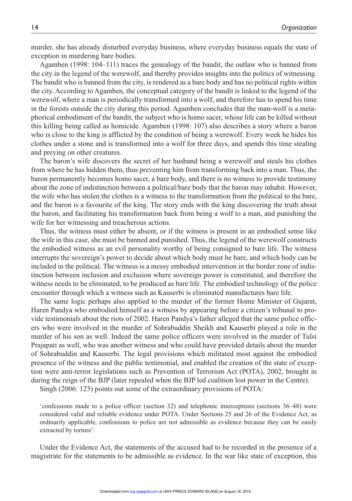murder, she has already disturbed everyday business, where everyday business equals the state of exception in murdering bare bodies.

Agamben (1998: 104–111) traces the genealogy of the bandit, the outlaw who is banned from the city in the legend of the werewolf, and thereby provides insights into the politics of witnessing. The bandit who is banned from the city, is rendered as a bare body and has no political rights within the city. According to Agamben, the conceptual category of the bandit is linked to the legend of the werewolf, where a man is periodically transformed into a wolf, and therefore has to spend his time in the forests outside the city during this period. Agamben concludes that the man-wolf is a metaphorical embodiment of the bandit, the subject who is homo sacer, whose life can be killed without this killing being called as homicide. Agamben (1998: 107) also describes a story where a baron who is close to the king is afflicted by the condition of being a werewolf. Every week he hides his clothes under a stone and is transformed into a wolf for three days, and spends this time stealing and preying on other creatures.

The baron's wife discovers the secret of her husband being a werewolf and steals his clothes from where he has hidden them, thus preventing him from transforming back into a man. Thus, the baron permanently becomes homo sacer, a bare body, and there is no witness to provide testimony about the zone of indistinction between a political/bare body that the baron may inhabit. However, the wife who has stolen the clothes is a witness to the transformation from the political to the bare, and the baron is a favourite of the king. The story ends with the king discovering the truth about the baron, and facilitating his transformation back from being a wolf to a man, and punishing the wife for her witnessing and treacherous actions.

Thus, the witness must either be absent, or if the witness is present in an embodied sense like the wife in this case, she must be banned and punished. Thus, the legend of the werewolf constructs the embodied witness as an evil personality worthy of being consigned to bare life. The witness interrupts the sovereign's power to decide about which body must be bare, and which body can be included in the political. The witness is a messy embodied intervention in the border zone of indistinction between inclusion and exclusion where sovereign power is constituted, and therefore the witness needs to be eliminated, to be produced as bare life. The embodied technology of the police encounter through which a witness such as Kauserbi is eliminated manufactures bare life.

The same logic perhaps also applied to the murder of the former Home Minister of Gujarat, Haren Pandya who embodied himself as a witness by appearing before a citizen's tribunal to provide testimonials about the riots of 2002. Haren Pandya's father alleged that the same police officers who were involved in the murder of Sohrabuddin Sheikh and Kauserbi played a role in the murder of his son as well. Indeed the same police officers were involved in the murder of Tulsi Prajapati as well, who was another witness and who could have provided details about the murder of Sohrabuddin and Kauserbi. The legal provisions which militated most against the embodied presence of the witness and the public testimonial, and enabled the creation of the state of exception were anti-terror legislations such as Prevention of Terrorism Act (POTA), 2002, brought in during the reign of the BJP (later repealed when the BJP led coalition lost power in the Centre).

Singh (2006: 123) points out some of the extraordinary provisions of POTA:

'confessions made to a police officer (section 32) and telephonic interceptions (sections 36–48) were considered valid and reliable evidence under POTA. Under Sections 25 and 26 of the Evidence Act, as ordinarily applicable, confessions to police are not admissible as evidence because they can be easily extracted by torture'.

Under the Evidence Act, the statements of the accused had to be recorded in the presence of a magistrate for the statements to be admissible as evidence. In the war like state of exception, this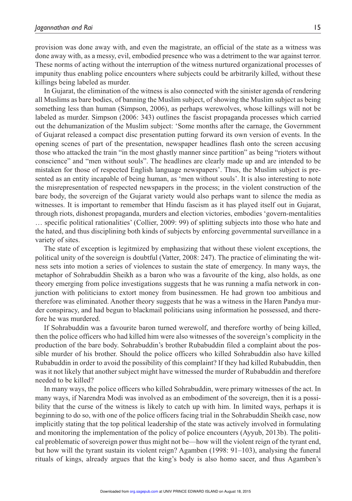provision was done away with, and even the magistrate, an official of the state as a witness was done away with, as a messy, evil, embodied presence who was a detriment to the war against terror. These norms of acting without the interruption of the witness nurtured organizational processes of impunity thus enabling police encounters where subjects could be arbitrarily killed, without these killings being labeled as murder.

In Gujarat, the elimination of the witness is also connected with the sinister agenda of rendering all Muslims as bare bodies, of banning the Muslim subject, of showing the Muslim subject as being something less than human (Simpson, 2006), as perhaps werewolves, whose killings will not be labeled as murder. Simpson (2006: 343) outlines the fascist propaganda processes which carried out the dehumanization of the Muslim subject: 'Some months after the carnage, the Government of Gujarat released a compact disc presentation putting forward its own version of events. In the opening scenes of part of the presentation, newspaper headlines flash onto the screen accusing those who attacked the train "in the most ghastly manner since partition" as being "rioters without conscience" and "men without souls". The headlines are clearly made up and are intended to be mistaken for those of respected English language newspapers'. Thus, the Muslim subject is presented as an entity incapable of being human, as 'men without souls'. It is also interesting to note the misrepresentation of respected newspapers in the process; in the violent construction of the bare body, the sovereign of the Gujarat variety would also perhaps want to silence the media as witnesses. It is important to remember that Hindu fascism as it has played itself out in Gujarat, through riots, dishonest propaganda, murders and election victories, embodies 'govern-mentalities … specific political rationalities' (Collier, 2009: 99) of splitting subjects into those who hate and the hated, and thus disciplining both kinds of subjects by enforcing governmental surveillance in a variety of sites.

The state of exception is legitmized by emphasizing that without these violent exceptions, the political unity of the sovereign is doubtful (Vatter, 2008: 247). The practice of eliminating the witness sets into motion a series of violences to sustain the state of emergency. In many ways, the metaphor of Sohrabuddin Sheikh as a baron who was a favourite of the king, also holds, as one theory emerging from police investigations suggests that he was running a mafia network in conjunction with politicians to extort money from businessmen. He had grown too ambitious and therefore was eliminated. Another theory suggests that he was a witness in the Haren Pandya murder conspiracy, and had begun to blackmail politicians using information he possessed, and therefore he was murdered.

If Sohrabuddin was a favourite baron turned werewolf, and therefore worthy of being killed, then the police officers who had killed him were also witnesses of the sovereign's complicity in the production of the bare body. Sohrabuddin's brother Rubabuddin filed a complaint about the possible murder of his brother. Should the police officers who killed Sohrabuddin also have killed Rubabuddin in order to avoid the possibility of this complaint? If they had killed Rubabuddin, then was it not likely that another subject might have witnessed the murder of Rubabuddin and therefore needed to be killed?

In many ways, the police officers who killed Sohrabuddin, were primary witnesses of the act. In many ways, if Narendra Modi was involved as an embodiment of the sovereign, then it is a possibility that the curse of the witness is likely to catch up with him. In limited ways, perhaps it is beginning to do so, with one of the police officers facing trial in the Sohrabuddin Sheikh case, now implicitly stating that the top political leadership of the state was actively involved in formulating and monitoring the implementation of the policy of police encounters (Ayyub, 2013b). The political problematic of sovereign power thus might not be—how will the violent reign of the tyrant end, but how will the tyrant sustain its violent reign? Agamben (1998: 91–103), analysing the funeral rituals of kings, already argues that the king's body is also homo sacer, and thus Agamben's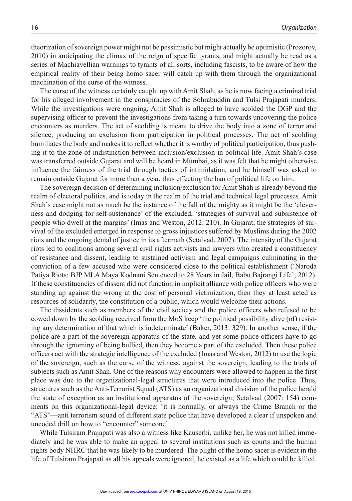theorization of sovereign power might not be pessimistic but might actually be optimistic (Prozorov, 2010) in anticipating the climax of the reign of specific tyrants, and might actually be read as a series of Machiavellian warnings to tyrants of all sorts, including fascists, to be aware of how the empirical reality of their being homo sacer will catch up with them through the organizational machination of the curse of the witness.

The curse of the witness certainly caught up with Amit Shah, as he is now facing a criminal trial for his alleged involvement in the conspiracies of the Sohrabuddin and Tulsi Prajapati murders. While the investigations were ongoing, Amit Shah is alleged to have scolded the DGP and the supervising officer to prevent the investigations from taking a turn towards uncovering the police encounters as murders. The act of scolding is meant to drive the body into a zone of terror and silence, producing an exclusion from participation in political processes. The act of scolding humiliates the body and makes it to reflect whether it is worthy of political participation, thus pushing it to the zone of indistinction between inclusion/exclusion in political life. Amit Shah's case was transferred outside Gujarat and will be heard in Mumbai, as it was felt that he might otherwise influence the fairness of the trial through tactics of intimidation, and he himself was asked to remain outside Gujarat for more than a year, thus effecting the ban of political life on him.

The sovereign decision of determining inclusion/exclusion for Amit Shah is already beyond the realm of electoral politics, and is today in the realm of the trial and technical legal processes. Amit Shah's case might not as much be the instance of the fall of the mighty as it might be the 'cleverness and dodging for self-sustenance' of the excluded, 'strategies of survival and subsistence of people who dwell at the margins' (Imas and Weston, 2012: 210). In Gujarat, the strategies of survival of the excluded emerged in response to gross injustices suffered by Muslims during the 2002 riots and the ongoing denial of justice in its aftermath (Setalvad, 2007). The intensity of the Gujarat riots led to coalitions among several civil rights activists and lawyers who created a constituency of resistance and dissent, leading to sustained activism and legal campaigns culminating in the conviction of a few accused who were considered close to the political establishment ('Naroda Patiya Riots: BJP MLA Maya Kodnani Sentenced to 28 Years in Jail, Babu Bajrangi Life', 2012). If these constituencies of dissent did not function in implicit alliance with police officers who were standing up against the wrong at the cost of personal victimization, then they at least acted as resources of solidarity, the constitution of a public, which would welcome their actions.

The dissidents such as members of the civil society and the police officers who refused to be cowed down by the scolding received from the MoS keep 'the political possibility alive (of) resisting any determination of that which is indeterminate' (Baker, 2013: 329). In another sense, if the police are a part of the sovereign apparatus of the state, and yet some police officers have to go through the ignominy of being bullied, then they become a part of the excluded. Then these police officers act with the strategic intelligence of the excluded (Imas and Weston, 2012) to use the logic of the sovereign, such as the curse of the witness, against the sovereign, leading to the trials of subjects such as Amit Shah. One of the reasons why encounters were allowed to happen in the first place was due to the organizational-legal structures that were introduced into the police. Thus, structures such as the Anti-Terrorist Squad (ATS) as an organizational division of the police herald the state of exception as an institutional apparatus of the sovereign; Setalvad (2007: 154) comments on this organizational-legal device: 'it is normally, or always the Crime Branch or the "ATS"—anti terrorism squad of different state police that have developed a clear if unspoken and uncoded drill on how to "encounter" someone'.

While Tulsiram Prajapati was also a witness like Kauserbi, unlike her, he was not killed immediately and he was able to make an appeal to several institutions such as courts and the human rights body NHRC that he was likely to be murdered. The plight of the homo sacer is evident in the life of Tulsiram Prajapati as all his appeals were ignored, he existed as a life which could be killed.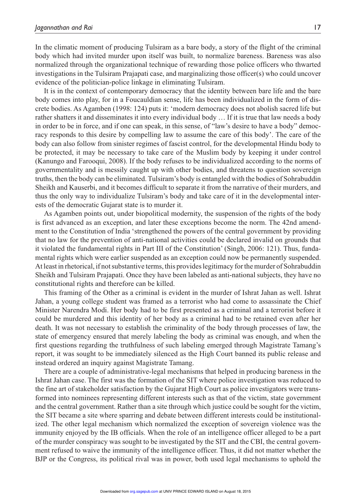In the climatic moment of producing Tulsiram as a bare body, a story of the flight of the criminal body which had invited murder upon itself was built, to normalize bareness. Bareness was also normalized through the organizational technique of rewarding those police officers who thwarted investigations in the Tulsiram Prajapati case, and marginalizing those officer(s) who could uncover evidence of the politician-police linkage in eliminating Tulsiram.

It is in the context of contemporary democracy that the identity between bare life and the bare body comes into play, for in a Foucauldian sense, life has been individualized in the form of discrete bodies. As Agamben (1998: 124) puts it: 'modern democracy does not abolish sacred life but rather shatters it and disseminates it into every individual body … If it is true that law needs a body in order to be in force, and if one can speak, in this sense, of "law's desire to have a body" democracy responds to this desire by compelling law to assume the care of this body'. The care of the body can also follow from sinister regimes of fascist control, for the developmental Hindu body to be protected, it may be necessary to take care of the Muslim body by keeping it under control (Kanungo and Farooqui, 2008). If the body refuses to be individualized according to the norms of governmentality and is messily caught up with other bodies, and threatens to question sovereign truths, then the body can be eliminated. Tulsiram's body is entangled with the bodies of Sohrabuddin Sheikh and Kauserbi, and it becomes difficult to separate it from the narrative of their murders, and thus the only way to individualize Tulsiram's body and take care of it in the developmental interests of the democratic Gujarat state is to murder it.

As Agamben points out, under biopolitical modernity, the suspension of the rights of the body is first advanced as an exception, and later these exceptions become the norm. The 42nd amendment to the Constitution of India 'strengthened the powers of the central government by providing that no law for the prevention of anti-national activities could be declared invalid on grounds that it violated the fundamental rights in Part III of the Constitution' (Singh, 2006: 121). Thus, fundamental rights which were earlier suspended as an exception could now be permanently suspended. At least in rhetorical, if not substantive terms, this provides legitimacy for the murder of Sohrabuddin Sheikh and Tulsiram Prajapati. Once they have been labeled as anti-national subjects, they have no constitutional rights and therefore can be killed.

This framing of the Other as a criminal is evident in the murder of Ishrat Jahan as well. Ishrat Jahan, a young college student was framed as a terrorist who had come to assassinate the Chief Minister Narendra Modi. Her body had to be first presented as a criminal and a terrorist before it could be murdered and this identity of her body as a criminal had to be retained even after her death. It was not necessary to establish the criminality of the body through processes of law, the state of emergency ensured that merely labeling the body as criminal was enough, and when the first questions regarding the truthfulness of such labeling emerged through Magistrate Tamang's report, it was sought to be immediately silenced as the High Court banned its public release and instead ordered an inquiry against Magistrate Tamang.

There are a couple of administrative-legal mechanisms that helped in producing bareness in the Ishrat Jahan case. The first was the formation of the SIT where police investigation was reduced to the fine art of stakeholder satisfaction by the Gujarat High Court as police investigators were transformed into nominees representing different interests such as that of the victim, state government and the central government. Rather than a site through which justice could be sought for the victim, the SIT became a site where sparring and debate between different interests could be institutionalized. The other legal mechanism which normalized the exception of sovereign violence was the immunity enjoyed by the IB officials. When the role of an intelligence officer alleged to be a part of the murder conspiracy was sought to be investigated by the SIT and the CBI, the central government refused to waive the immunity of the intelligence officer. Thus, it did not matter whether the BJP or the Congress, its political rival was in power, both used legal mechanisms to uphold the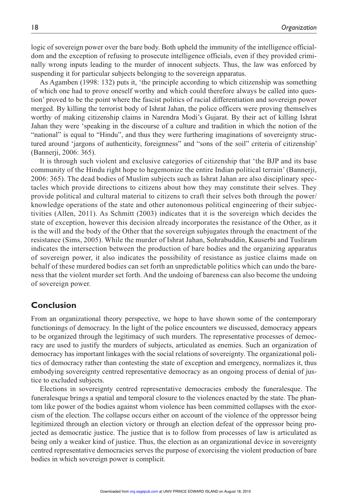logic of sovereign power over the bare body. Both upheld the immunity of the intelligence officialdom and the exception of refusing to prosecute intelligence officials, even if they provided criminally wrong inputs leading to the murder of innocent subjects. Thus, the law was enforced by suspending it for particular subjects belonging to the sovereign apparatus.

As Agamben (1998: 132) puts it, 'the principle according to which citizenship was something of which one had to prove oneself worthy and which could therefore always be called into question' proved to be the point where the fascist politics of racial differentiation and sovereign power merged. By killing the terrorist body of Ishrat Jahan, the police officers were proving themselves worthy of making citizenship claims in Narendra Modi's Gujarat. By their act of killing Ishrat Jahan they were 'speaking in the discourse of a culture and tradition in which the notion of the "national" is equal to "Hindu", and thus they were furthering imaginations of sovereignty structured around 'jargons of authenticity, foreignness" and "sons of the soil" criteria of citizenship' (Bannerji, 2006: 365).

It is through such violent and exclusive categories of citizenship that 'the BJP and its base community of the Hindu right hope to hegemonize the entire Indian political terrain' (Bannerji, 2006: 365). The dead bodies of Muslim subjects such as Ishrat Jahan are also disciplinary spectacles which provide directions to citizens about how they may constitute their selves. They provide political and cultural material to citizens to craft their selves both through the power/ knowledge operations of the state and other autonomous political engineering of their subjectivities (Allen, 2011). As Schmitt (2003) indicates that it is the sovereign which decides the state of exception, however this decision already incorporates the resistance of the Other, as it is the will and the body of the Other that the sovereign subjugates through the enactment of the resistance (Sims, 2005). While the murder of Ishrat Jahan, Sohrabuddin, Kauserbi and Tusliram indicates the intersection between the production of bare bodies and the organizing apparatus of sovereign power, it also indicates the possibility of resistance as justice claims made on behalf of these murdered bodies can set forth an unpredictable politics which can undo the bareness that the violent murder set forth. And the undoing of bareness can also become the undoing of sovereign power.

# **Conclusion**

From an organizational theory perspective, we hope to have shown some of the contemporary functionings of democracy. In the light of the police encounters we discussed, democracy appears to be organized through the legitimacy of such murders. The representative processes of democracy are used to justify the murders of subjects, articulated as enemies. Such an organization of democracy has important linkages with the social relations of sovereignty. The organizational politics of democracy rather than contesting the state of exception and emergency, normalizes it, thus embodying sovereignty centred representative democracy as an ongoing process of denial of justice to excluded subjects.

Elections in sovereignty centred representative democracies embody the funeralesque. The funeralesque brings a spatial and temporal closure to the violences enacted by the state. The phantom like power of the bodies against whom violence has been committed collapses with the exorcism of the election. The collapse occurs either on account of the violence of the oppressor being legitimized through an election victory or through an election defeat of the oppressor being projected as democratic justice. The justice that is to follow from processes of law is articulated as being only a weaker kind of justice. Thus, the election as an organizational device in sovereignty centred representative democracies serves the purpose of exorcising the violent production of bare bodies in which sovereign power is complicit.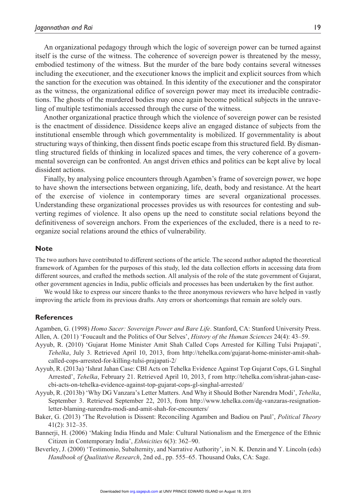An organizational pedagogy through which the logic of sovereign power can be turned against itself is the curse of the witness. The coherence of sovereign power is threatened by the messy, embodied testimony of the witness. But the murder of the bare body contains several witnesses including the executioner, and the executioner knows the implicit and explicit sources from which the sanction for the execution was obtained. In this identity of the executioner and the conspirator as the witness, the organizational edifice of sovereign power may meet its irreducible contradictions. The ghosts of the murdered bodies may once again become political subjects in the unraveling of multiple testimonials accessed through the curse of the witness.

Another organizational practice through which the violence of sovereign power can be resisted is the enactment of dissidence. Dissidence keeps alive an engaged distance of subjects from the institutional ensemble through which governmentality is mobilized. If governmentality is about structuring ways of thinking, then dissent finds poetic escape from this structured field. By dismantling structured fields of thinking in localized spaces and times, the very coherence of a governmental sovereign can be confronted. An angst driven ethics and politics can be kept alive by local dissident actions.

Finally, by analysing police encounters through Agamben's frame of sovereign power, we hope to have shown the intersections between organizing, life, death, body and resistance. At the heart of the exercise of violence in contemporary times are several organizational processes. Understanding these organizational processes provides us with resources for contesting and subverting regimes of violence. It also opens up the need to constitute social relations beyond the definitiveness of sovereign anchors. From the experiences of the excluded, there is a need to reorganize social relations around the ethics of vulnerability.

### **Note**

The two authors have contributed to different sections of the article. The second author adapted the theoretical framework of Agamben for the purposes of this study, led the data collection efforts in accessing data from different sources, and crafted the methods section. All analysis of the role of the state government of Gujarat, other government agencies in India, public officials and processes has been undertaken by the first author.

We would like to express our sincere thanks to the three anonymous reviewers who have helped in vastly improving the article from its previous drafts. Any errors or shortcomings that remain are solely ours.

#### **References**

Agamben, G. (1998) *Homo Sacer: Sovereign Power and Bare Life*. Stanford, CA: Stanford University Press. Allen, A. (2011) 'Foucault and the Politics of Our Selves', *History of the Human Sciences* 24(4): 43–59.

- Ayyub, R. (2010) 'Gujarat Home Minister Amit Shah Called Cops Arrested for Killing Tulsi Prajapati', *Tehelka*, July 3. Retrieved April 10, 2013, from http://tehelka.com/gujarat-home-minister-amit-shahcalled-cops-arrested-for-killing-tulsi-prajapati-2/
- Ayyub, R. (2013a) 'Ishrat Jahan Case: CBI Acts on Tehelka Evidence Against Top Gujarat Cops, G L Singhal Arrested', *Tehelka*, February 21. Retrieved April 10, 2013, f rom http://tehelka.com/ishrat-jahan-casecbi-acts-on-tehelka-evidence-against-top-gujarat-cops-gl-singhal-arrested/
- Ayyub, R. (2013b) 'Why DG Vanzara's Letter Matters. And Why it Should Bother Narendra Modi', *Tehelka*, September 3. Retrieved September 22, 2013, from http://www.tehelka.com/dg-vanzaras-resignationletter-blaming-narendra-modi-and-amit-shah-for-encounters/
- Baker, G. (2013) 'The Revolution is Dissent: Reconciling Agamben and Badiou on Paul', *Political Theory* 41(2): 312–35.
- Bannerji, H. (2006) 'Making India Hindu and Male: Cultural Nationalism and the Emergence of the Ethnic Citizen in Contemporary India', *Ethnicities* 6(3): 362–90.
- Beverley, J. (2000) 'Testimonio, Subalternity, and Narrative Authority', in N. K. Denzin and Y. Lincoln (eds) *Handbook of Qualitative Research*, 2nd ed., pp. 555–65. Thousand Oaks, CA: Sage.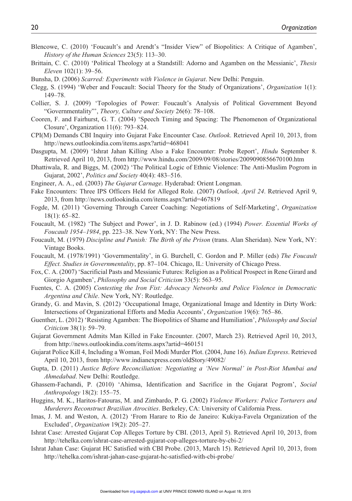- Blencowe, C. (2010) 'Foucault's and Arendt's "Insider View" of Biopolitics: A Critique of Agamben', *History of the Human Sciences* 23(5): 113–30.
- Brittain, C. C. (2010) 'Political Theology at a Standstill: Adorno and Agamben on the Messianic', *Thesis Eleven* 102(1): 39–56.
- Bunsha, D. (2006) *Scarred: Experiments with Violence in Gujarat*. New Delhi: Penguin.
- Clegg, S. (1994) 'Weber and Foucault: Social Theory for the Study of Organizations', *Organization* 1(1): 149–78.
- Collier, S. J. (2009) 'Topologies of Power: Foucault's Analysis of Political Government Beyond "Governmentality"', *Theory, Culture and Society* 26(6): 78–108.
- Cooren, F. and Fairhurst, G. T. (2004) 'Speech Timing and Spacing: The Phenomenon of Organizational Closure', Organization 11(6): 793–824.
- CPI(M) Demands CBI Inquiry into Gujarat Fake Encounter Case. *Outlook*. Retrieved April 10, 2013, from http://news.outlookindia.com/items.aspx?artid=468041
- Dasgupta, M. (2009) 'Ishrat Jahan Killing Also a Fake Encounter: Probe Report', *Hindu* September 8. Retrieved April 10, 2013, from http://www.hindu.com/2009/09/08/stories/2009090856670100.htm
- Dhattiwala, R. and Biggs, M. (2002) 'The Political Logic of Ethnic Violence: The Anti-Muslim Pogrom in Gujarat, 2002', *Politics and Society* 40(4): 483–516.
- Engineer, A. A., ed. (2003) *The Gujarat Carnage*. Hyderabad: Orient Longman.
- Fake Encounters: Three IPS Officers Held for Alleged Role. (2007) *Outlook, April 24*. Retrieved April 9, 2013, from http://news.outlookindia.com/items.aspx?artid=467819
- Fogde, M. (2011) 'Governing Through Career Coaching: Negotiations of Self-Marketing', *Organization* 18(1): 65–82.
- Foucault, M. (1982) 'The Subject and Power', in J. D. Rabinow (ed.) (1994) *Power. Essential Works of Foucault 1954–1984*, pp. 223–38. New York, NY: The New Press.
- Foucault, M. (1979) *Discipline and Punish: The Birth of the Prison* (trans. Alan Sheridan). New York, NY: Vintage Books.
- Foucault, M. (1978/1991) 'Governmentality', in G. Burchell, C. Gordon and P. Miller (eds) *The Foucault Effect. Studies in Governmentality*, pp. 87–104. Chicago, IL: University of Chicago Press.
- Fox, C. A. (2007) 'Sacrificial Pasts and Messianic Futures: Religion as a Political Prospect in Rene Girard and Giorgio Agamben', *Philosophy and Social Criticism* 33(5): 563–95.
- Fuentes, C. A. (2005) *Contesting the Iron Fist: Advocacy Networks and Police Violence in Democratic Argentina and Chile*. New York, NY: Routledge.
- Grandy, G. and Mavin, S. (2012) 'Occupational Image, Organizational Image and Identity in Dirty Work: Intersections of Organizational Efforts and Media Accounts', *Organization* 19(6): 765–86.
- Guenther, L. (2012) 'Resisting Agamben: The Biopolitics of Shame and Humiliation', *Philosophy and Social Criticism* 38(1): 59–79.
- Gujarat Government Admits Man Killed in Fake Encounter. (2007, March 23). Retrieved April 10, 2013, from http://news.outlookindia.com/items.aspx?artid=460151
- Gujarat Police Kill 4, Including a Woman, Foil Modi Murder Plot. (2004, June 16). *Indian Express*. Retrieved April 10, 2013, from http://www.indianexpress.com/oldStory/49082/
- Gupta, D. (2011) *Justice Before Reconciliation: Negotiating a 'New Normal' in Post-Riot Mumbai and Ahmedabad*. New Delhi: Routledge.
- Ghassem-Fachandi, P. (2010) 'Ahimsa, Identification and Sacrifice in the Gujarat Pogrom', *Social Anthropology* 18(2): 155–75.
- Huggins, M. K., Haritos-Fatouras, M. and Zimbardo, P. G. (2002) *Violence Workers: Police Torturers and Murderers Reconstruct Brazilian Atrocities*. Berkeley, CA: University of California Press.
- Imas, J. M. and Weston, A. (2012) 'From Harare to Rio de Janeiro: Kukiya-Favela Organization of the Excluded', *Organization* 19(2): 205–27.
- Ishrat Case: Arrested Gujarat Cop Alleges Torture by CBI. (2013, April 5). Retrieved April 10, 2013, from http://tehelka.com/ishrat-case-arrested-gujarat-cop-alleges-torture-by-cbi-2/
- Ishrat Jahan Case: Gujarat HC Satisfied with CBI Probe. (2013, March 15). Retrieved April 10, 2013, from http://tehelka.com/ishrat-jahan-case-gujarat-hc-satisfied-with-cbi-probe/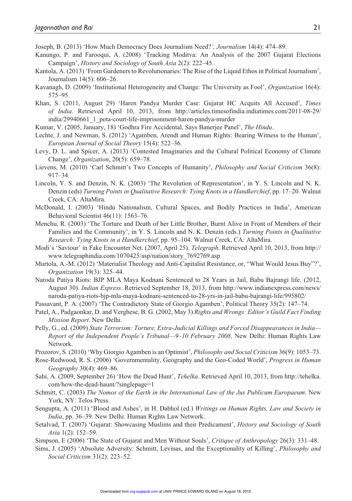Joseph, B. (2013) 'How Much Democracy Does Journalism Need?*', Journalism* 14(4): 474–89.

- Kanungo, P. and Farooqui, A. (2008) 'Tracking Moditva: An Analysis of the 2007 Gujarat Elections Campaign', *History and Sociology of South Asia* 2(2): 222–45.
- Kantola, A. (2013) 'From Gardeners to Revolutionaries: The Rise of the Liquid Ethos in Political Journalism', Journalism 14(5): 606–26.
- Kavanagh, D. (2009) 'Institutional Heterogeneity and Change: The University as Fool', *Organization* 16(4): 575–95.
- Khan, S. (2011, August 29) 'Haren Pandya Murder Case: Gujarat HC Acquits All Accused', *Times of India*. Retrieved April 10, 2013, from http://articles.timesofindia.indiatimes.com/2011-08-29/ india/29940661\_1\_pota-court-life-imprisonment-haren-pandya-murder
- Kumar, V. (2005, January, 18) 'Godhra Fire Accidental, Says Banerjee Panel', *The Hindu*.
- Lechte, J. and Newman, S. (2012) 'Agamben, Arendt and Human Rights: Bearing Witness to the Human', *European Journal of Social Theory* 15(4): 522–36.
- Levy, D. L. and Spicer, A. (2013) 'Contested Imaginaries and the Cultural Political Economy of Climate Change', *Organization*, 20(5): 659–78.
- Lievens, M. (2010) 'Carl Schmitt's Two Concepts of Humanity', *Philosophy and Social Criticism* 36(8): 917–34.
- Lincoln, Y. S. and Denzin, N. K. (2003) 'The Revolution of Representation', in Y. S. Lincoln and N. K. Denzin (eds) *Turning Points in Qualitative Research: Tying Knots in a Handkerchief*, pp. 17–20. Walnut Creek, CA: AltaMira.
- McDonald, I. (2003) 'Hindu Nationalism, Cultural Spaces, and Bodily Practices in India', American Behavioral Scientist 46(11): 1563–76.
- Menchu, R. (2003) 'The Torture and Death of her Little Brother, Burnt Alive in Front of Members of their Families and the Community', in Y. S. Lincoln and N. K. Denzin (eds.) *Turning Points in Qualitative Research: Tying Knots in a Handkerchief*, pp. 95–104. Walnut Creek, CA: AltaMira.
- Modi's 'Saviour' in Fake Encounter Net. (2007, April 25). *Telegraph*. Retrieved April 10, 2013, from http:// www.telegraphindia.com/1070425/asp/nation/story\_7692769.asp
- Murtola, A.-M. (2012) 'Materialist Theology and Anti-Capitalist Resistance, or, "What Would Jesus Buy"?', *Organization* 19(3): 325–44.
- Naroda Patiya Riots: BJP MLA Maya Kodnani Sentenced to 28 Years in Jail, Babu Bajrangi life. (2012, August 30). *Indian Express*. Retrieved September 18, 2013, from http://www.indianexpress.com/news/ naroda-patiya-riots-bjp-mla-maya-kodnani-sentenced-to-28-yrs-in-jail-babu-bajrangi-life/995802/
- Passavant, P. A. (2007) 'The Contradictory State of Giorgio Agamben', Political Theory 35(2): 147–74.
- Patel, A., Padgaonkar, D. and Verghese, B. G. (2002, May 3) *Rights and Wrongs: Editor's Guild Fact Finding Mission Report*. New Delhi.
- Pelly, G., ed. (2009) *State Terrorism: Torture, Extra-Judicial Killings and Forced Disappearances in India— Report of the Independent People's Tribunal—9–10 February 2008*. New Delhi: Human Rights Law Network.

Prozorov, S. (2010) 'Why Giorgio Agamben is an Optimist', *Philosophy and Social Criticism* 36(9): 1053–73.

- Rose-Redwood, R. S. (2006) 'Governmentality, Geography and the Geo-Coded World', *Progress in Human Geography* 30(4): 469–86.
- Sahi, A. (2009, September 26) 'How the Dead Hunt', *Tehelka*. Retrieved April 10, 2013, from http://tehelka. com/how-the-dead-haunt/?singlepage=1
- Schmitt, C. (2003) *The Nomos of the Earth in the International Law of the Jus Publicum Europaeum*. New York, NY: Telos Press.
- Sengupta, A. (2011) 'Blood and Ashes', in H. Dabhol (ed.) *Writings on Human Rights, Law and Society in India*, pp. 36–39. New Delhi: Human Rights Law Network.
- Setalvad, T. (2007) 'Gujarat: Showcasing Muslims and their Predicament', *History and Sociology of South Asia* 1(2): 152–59.
- Simpson, E (2006) 'The State of Gujarat and Men Without Souls', *Critique of Anthropology* 26(3): 331–48.
- Sims, J. (2005) 'Absolute Adversity: Schmitt, Levinas, and the Exceptionality of Killing', *Philosophy and Social Criticism* 31(2): 223–52.